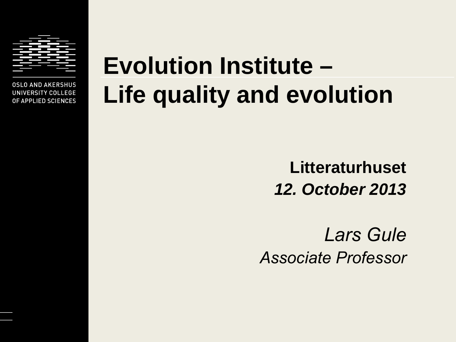

**OSLO AND AKERSHUS** UNIVERSITY COLLEGE OF APPLIED SCIENCES

# **Evolution Institute – Life quality and evolution**

**Litteraturhuset** *12. October 2013*

*Lars Gule Associate Professor*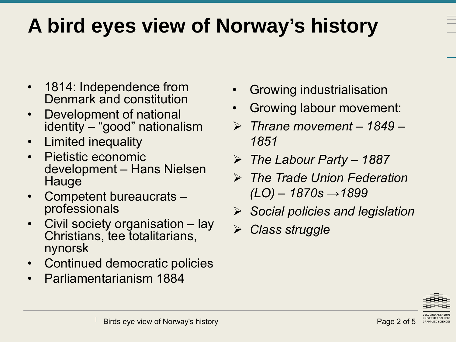## **A bird eyes view of Norway's history**

- 1814: Independence from Denmark and constitution
- Development of national identity – "good" nationalism
- Limited inequality
- Pietistic economic development – Hans Nielsen Hauge
- Competent bureaucrats professionals
- Civil society organisation lay Christians, tee totalitarians, nynorsk
- Continued democratic policies
- Parliamentarianism 1884
- Growing industrialisation
- Growing labour movement:
- *Thrane movement – 1849 1851*
- *The Labour Party 1887*
- *The Trade Union Federation (LO) – 1870s →1899*
- *Social policies and legislation*
- *Class struggle*

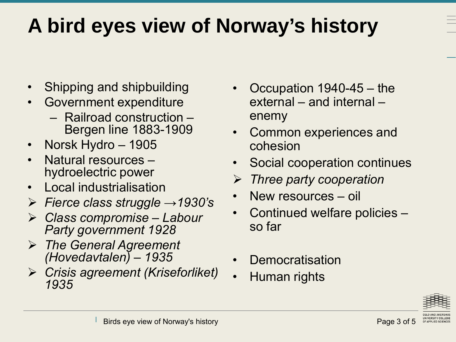## **A bird eyes view of Norway's history**

- Shipping and shipbuilding
- Government expenditure
	- Railroad construction Bergen line 1883-1909
- Norsk Hydro 1905
- Natural resources hydroelectric power
- Local industrialisation
- *Fierce class struggle →1930's*
- *Class compromise Labour Party government 1928*
- *The General Agreement (Hovedavtalen) – 1935*
- *Crisis agreement (Kriseforliket) 1935*
- Occupation 1940-45 the external – and internal – enemy
- Common experiences and cohesion
- Social cooperation continues
- *Three party cooperation*
- New resources oil
- Continued welfare policies so far
- **Democratisation**
- Human rights

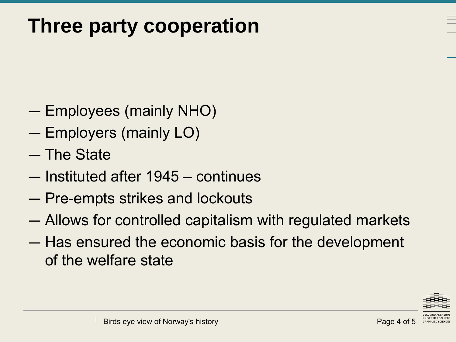#### **Three party cooperation**

- Employees (mainly NHO)
- Employers (mainly LO)
- The State
- Instituted after 1945 continues
- Pre-empts strikes and lockouts
- Allows for controlled capitalism with regulated markets
- Has ensured the economic basis for the development of the welfare state